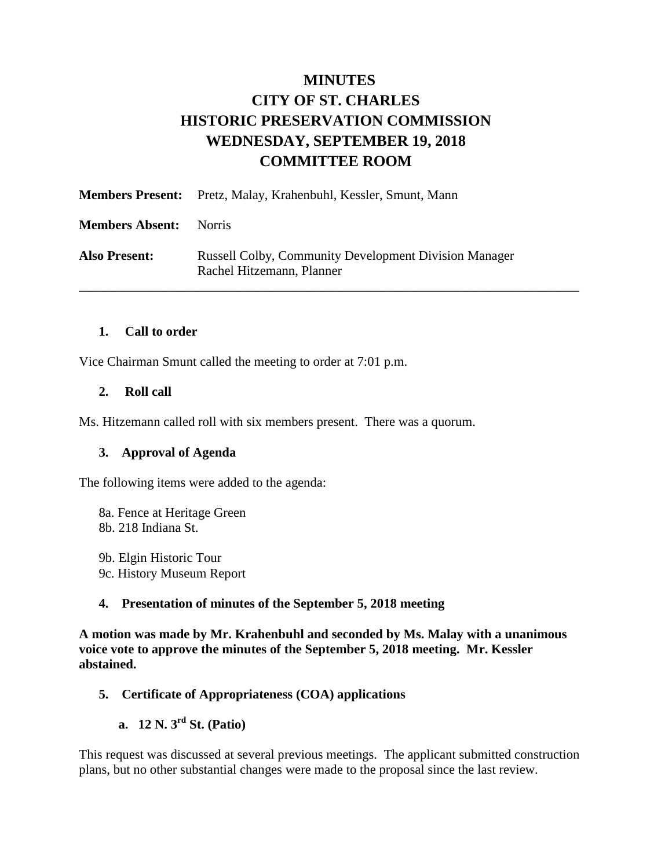## **MINUTES CITY OF ST. CHARLES HISTORIC PRESERVATION COMMISSION WEDNESDAY, SEPTEMBER 19, 2018 COMMITTEE ROOM**

| <b>Members Present:</b> | Pretz, Malay, Krahenbuhl, Kessler, Smunt, Mann                                            |
|-------------------------|-------------------------------------------------------------------------------------------|
| <b>Members Absent:</b>  | Norris                                                                                    |
| <b>Also Present:</b>    | <b>Russell Colby, Community Development Division Manager</b><br>Rachel Hitzemann, Planner |

#### **1. Call to order**

Vice Chairman Smunt called the meeting to order at 7:01 p.m.

#### **2. Roll call**

Ms. Hitzemann called roll with six members present. There was a quorum.

#### **3. Approval of Agenda**

The following items were added to the agenda:

8a. Fence at Heritage Green 8b. 218 Indiana St.

9b. Elgin Historic Tour 9c. History Museum Report

#### **4. Presentation of minutes of the September 5, 2018 meeting**

**A motion was made by Mr. Krahenbuhl and seconded by Ms. Malay with a unanimous voice vote to approve the minutes of the September 5, 2018 meeting. Mr. Kessler abstained.** 

#### **5. Certificate of Appropriateness (COA) applications**

**a. 12 N. 3rd St. (Patio)**

This request was discussed at several previous meetings. The applicant submitted construction plans, but no other substantial changes were made to the proposal since the last review.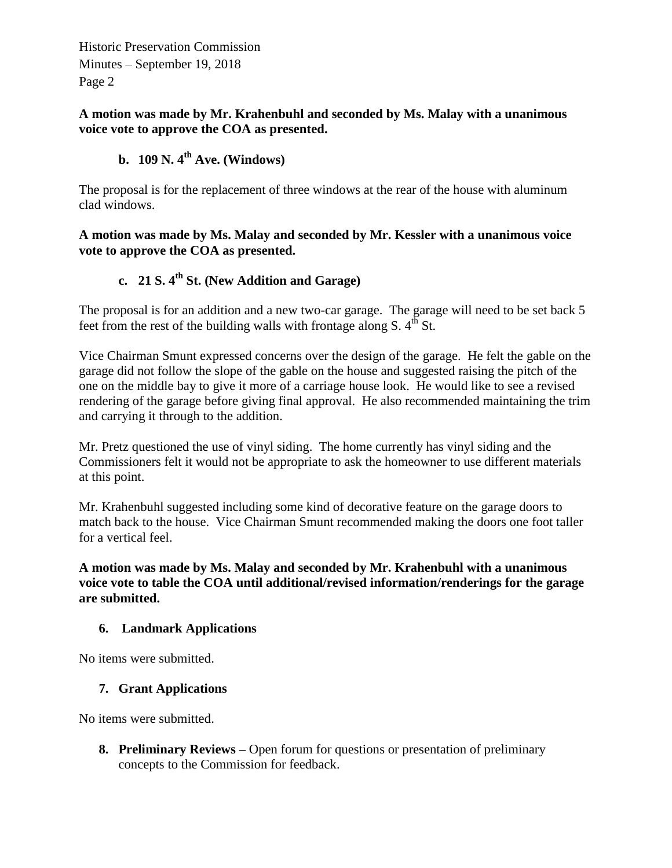Historic Preservation Commission Minutes – September 19, 2018 Page 2

#### **A motion was made by Mr. Krahenbuhl and seconded by Ms. Malay with a unanimous voice vote to approve the COA as presented.**

## **b. 109 N. 4th Ave. (Windows)**

The proposal is for the replacement of three windows at the rear of the house with aluminum clad windows.

**A motion was made by Ms. Malay and seconded by Mr. Kessler with a unanimous voice vote to approve the COA as presented.** 

# **c. 21 S. 4th St. (New Addition and Garage)**

The proposal is for an addition and a new two-car garage. The garage will need to be set back 5 feet from the rest of the building walls with frontage along S.  $4^{th}$  St.

Vice Chairman Smunt expressed concerns over the design of the garage. He felt the gable on the garage did not follow the slope of the gable on the house and suggested raising the pitch of the one on the middle bay to give it more of a carriage house look. He would like to see a revised rendering of the garage before giving final approval. He also recommended maintaining the trim and carrying it through to the addition.

Mr. Pretz questioned the use of vinyl siding. The home currently has vinyl siding and the Commissioners felt it would not be appropriate to ask the homeowner to use different materials at this point.

Mr. Krahenbuhl suggested including some kind of decorative feature on the garage doors to match back to the house. Vice Chairman Smunt recommended making the doors one foot taller for a vertical feel.

**A motion was made by Ms. Malay and seconded by Mr. Krahenbuhl with a unanimous voice vote to table the COA until additional/revised information/renderings for the garage are submitted.** 

#### **6. Landmark Applications**

No items were submitted.

#### **7. Grant Applications**

No items were submitted.

**8. Preliminary Reviews –** Open forum for questions or presentation of preliminary concepts to the Commission for feedback.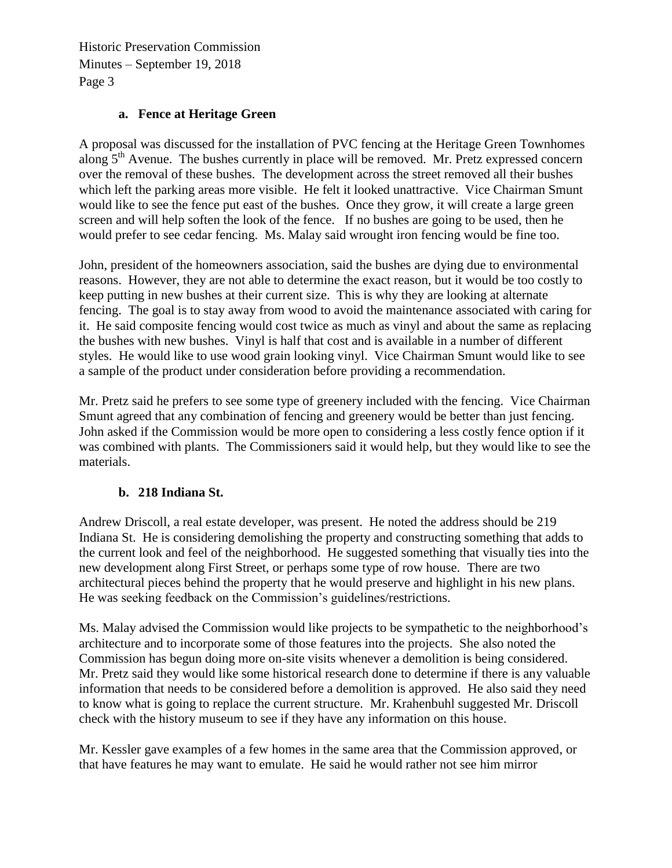Historic Preservation Commission Minutes – September 19, 2018 Page 3

#### **a. Fence at Heritage Green**

A proposal was discussed for the installation of PVC fencing at the Heritage Green Townhomes along  $5<sup>th</sup>$  Avenue. The bushes currently in place will be removed. Mr. Pretz expressed concern over the removal of these bushes. The development across the street removed all their bushes which left the parking areas more visible. He felt it looked unattractive. Vice Chairman Smunt would like to see the fence put east of the bushes. Once they grow, it will create a large green screen and will help soften the look of the fence. If no bushes are going to be used, then he would prefer to see cedar fencing. Ms. Malay said wrought iron fencing would be fine too.

John, president of the homeowners association, said the bushes are dying due to environmental reasons. However, they are not able to determine the exact reason, but it would be too costly to keep putting in new bushes at their current size. This is why they are looking at alternate fencing. The goal is to stay away from wood to avoid the maintenance associated with caring for it. He said composite fencing would cost twice as much as vinyl and about the same as replacing the bushes with new bushes. Vinyl is half that cost and is available in a number of different styles. He would like to use wood grain looking vinyl. Vice Chairman Smunt would like to see a sample of the product under consideration before providing a recommendation.

Mr. Pretz said he prefers to see some type of greenery included with the fencing. Vice Chairman Smunt agreed that any combination of fencing and greenery would be better than just fencing. John asked if the Commission would be more open to considering a less costly fence option if it was combined with plants. The Commissioners said it would help, but they would like to see the materials.

#### **b. 218 Indiana St.**

Andrew Driscoll, a real estate developer, was present. He noted the address should be 219 Indiana St. He is considering demolishing the property and constructing something that adds to the current look and feel of the neighborhood. He suggested something that visually ties into the new development along First Street, or perhaps some type of row house. There are two architectural pieces behind the property that he would preserve and highlight in his new plans. He was seeking feedback on the Commission's guidelines/restrictions.

Ms. Malay advised the Commission would like projects to be sympathetic to the neighborhood's architecture and to incorporate some of those features into the projects. She also noted the Commission has begun doing more on-site visits whenever a demolition is being considered. Mr. Pretz said they would like some historical research done to determine if there is any valuable information that needs to be considered before a demolition is approved. He also said they need to know what is going to replace the current structure. Mr. Krahenbuhl suggested Mr. Driscoll check with the history museum to see if they have any information on this house.

Mr. Kessler gave examples of a few homes in the same area that the Commission approved, or that have features he may want to emulate. He said he would rather not see him mirror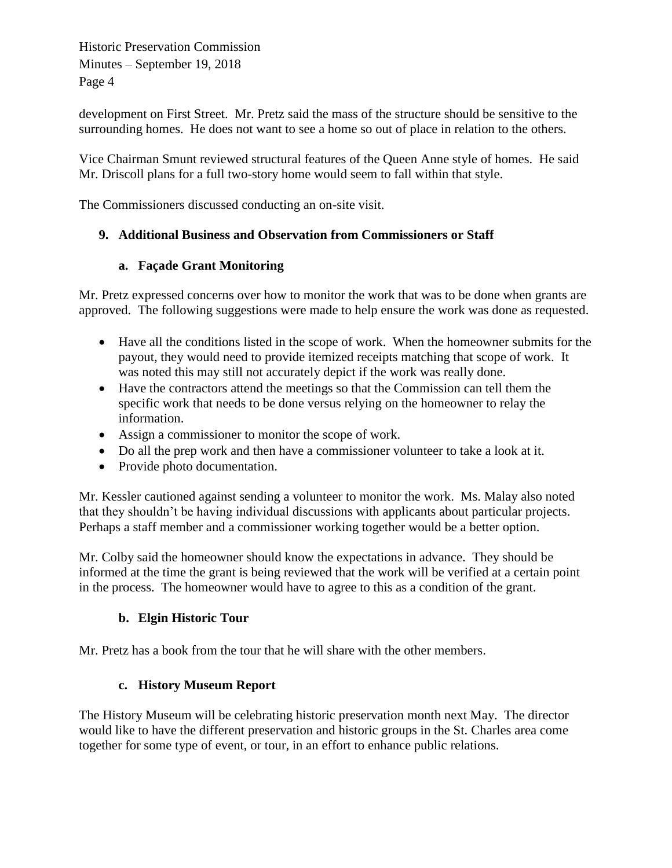Historic Preservation Commission Minutes – September 19, 2018 Page 4

development on First Street. Mr. Pretz said the mass of the structure should be sensitive to the surrounding homes. He does not want to see a home so out of place in relation to the others.

Vice Chairman Smunt reviewed structural features of the Queen Anne style of homes. He said Mr. Driscoll plans for a full two-story home would seem to fall within that style.

The Commissioners discussed conducting an on-site visit.

## **9. Additional Business and Observation from Commissioners or Staff**

## **a. Façade Grant Monitoring**

Mr. Pretz expressed concerns over how to monitor the work that was to be done when grants are approved. The following suggestions were made to help ensure the work was done as requested.

- Have all the conditions listed in the scope of work. When the homeowner submits for the payout, they would need to provide itemized receipts matching that scope of work. It was noted this may still not accurately depict if the work was really done.
- Have the contractors attend the meetings so that the Commission can tell them the specific work that needs to be done versus relying on the homeowner to relay the information.
- Assign a commissioner to monitor the scope of work.
- Do all the prep work and then have a commissioner volunteer to take a look at it.
- Provide photo documentation.

Mr. Kessler cautioned against sending a volunteer to monitor the work. Ms. Malay also noted that they shouldn't be having individual discussions with applicants about particular projects. Perhaps a staff member and a commissioner working together would be a better option.

Mr. Colby said the homeowner should know the expectations in advance. They should be informed at the time the grant is being reviewed that the work will be verified at a certain point in the process. The homeowner would have to agree to this as a condition of the grant.

## **b. Elgin Historic Tour**

Mr. Pretz has a book from the tour that he will share with the other members.

#### **c. History Museum Report**

The History Museum will be celebrating historic preservation month next May. The director would like to have the different preservation and historic groups in the St. Charles area come together for some type of event, or tour, in an effort to enhance public relations.